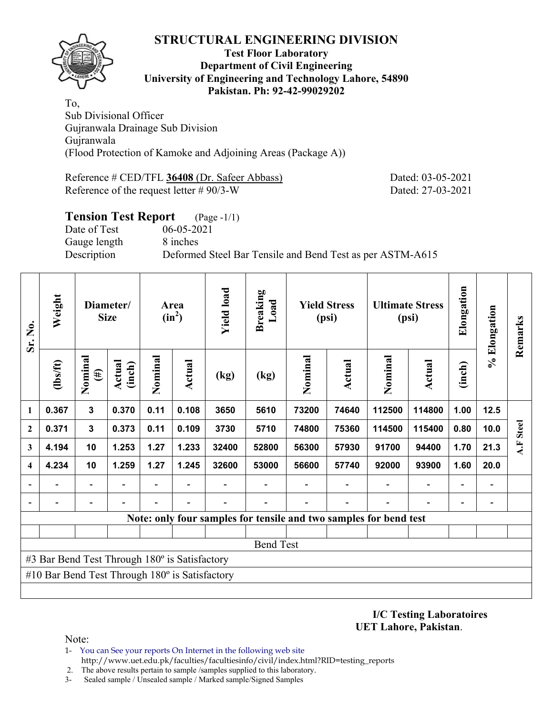

### **Test Floor Laboratory Department of Civil Engineering University of Engineering and Technology Lahore, 54890 Pakistan. Ph: 92-42-99029202**

To, Sub Divisional Officer Gujranwala Drainage Sub Division Gujranwala (Flood Protection of Kamoke and Adjoining Areas (Package A))

Reference # CED/TFL **36408** (Dr. Safeer Abbass) Dated: 03-05-2021 Reference of the request letter # 90/3-W Dated: 27-03-2021

# **Tension Test Report** (Page -1/1) Date of Test 06-05-2021 Gauge length 8 inches Description Deformed Steel Bar Tensile and Bend Test as per ASTM-A615

| Sr. No.      | Weight                                                |                              | Diameter/<br><b>Size</b> |                          | Area<br>$(in^2)$ | <b>Yield load</b> | Breaking<br>Load                                                  |         | <b>Yield Stress</b><br>(psi) |                          | <b>Ultimate Stress</b><br>(psi) | Elongation               | % Elongation                 | Remarks      |
|--------------|-------------------------------------------------------|------------------------------|--------------------------|--------------------------|------------------|-------------------|-------------------------------------------------------------------|---------|------------------------------|--------------------------|---------------------------------|--------------------------|------------------------------|--------------|
|              | $\frac{2}{10}$                                        | Nominal<br>$(\#)$            | Actual<br>(inch)         | Nominal                  | Actual           | (kg)              | (kg)                                                              | Nominal | Actual                       | Nominal                  | <b>Actual</b>                   | (inch)                   |                              |              |
| 1            | 0.367                                                 | $\mathbf{3}$                 | 0.370                    | 0.11                     | 0.108            | 3650              | 5610                                                              | 73200   | 74640                        | 112500                   | 114800                          | 1.00                     | $12.5$                       |              |
| $\mathbf{2}$ | 0.371                                                 | $\mathbf{3}$                 | 0.373                    | 0.11                     | 0.109            | 3730              | 5710                                                              | 74800   | 75360                        | 114500                   | 115400                          | 0.80                     | 10.0                         | <b>Steel</b> |
| 3            | 4.194                                                 | 10                           | 1.253                    | 1.27                     | 1.233            | 32400             | 52800                                                             | 56300   | 57930                        | 91700                    | 94400                           | 1.70                     | 21.3                         | A.F          |
| 4            | 4.234                                                 | 10                           | 1.259                    | 1.27                     | 1.245            | 32600             | 53000                                                             | 56600   | 57740                        | 92000                    | 93900                           | 1.60                     | 20.0                         |              |
|              |                                                       | $\overline{\phantom{0}}$     | $\blacksquare$           | $\overline{\phantom{0}}$ | $\blacksquare$   |                   |                                                                   |         |                              | $\overline{\phantom{a}}$ | $\overline{\phantom{a}}$        | $\overline{\phantom{a}}$ | $\qquad \qquad \blacksquare$ |              |
|              | $\overline{\phantom{0}}$                              | $\qquad \qquad \blacksquare$ |                          | $\overline{\phantom{0}}$ | $\blacksquare$   |                   |                                                                   |         |                              |                          | $\blacksquare$                  | $\blacksquare$           | $\qquad \qquad \blacksquare$ |              |
|              |                                                       |                              |                          |                          |                  |                   | Note: only four samples for tensile and two samples for bend test |         |                              |                          |                                 |                          |                              |              |
|              |                                                       |                              |                          |                          |                  |                   |                                                                   |         |                              |                          |                                 |                          |                              |              |
|              |                                                       |                              |                          |                          |                  |                   | <b>Bend Test</b>                                                  |         |                              |                          |                                 |                          |                              |              |
|              | #3 Bar Bend Test Through 180° is Satisfactory         |                              |                          |                          |                  |                   |                                                                   |         |                              |                          |                                 |                          |                              |              |
|              | #10 Bar Bend Test Through $180^\circ$ is Satisfactory |                              |                          |                          |                  |                   |                                                                   |         |                              |                          |                                 |                          |                              |              |
|              |                                                       |                              |                          |                          |                  |                   |                                                                   |         |                              |                          |                                 |                          |                              |              |

**I/C Testing Laboratoires UET Lahore, Pakistan**.

Note:

1- You can See your reports On Internet in the following web site http://www.uet.edu.pk/faculties/facultiesinfo/civil/index.html?RID=testing\_reports

2. The above results pertain to sample /samples supplied to this laboratory.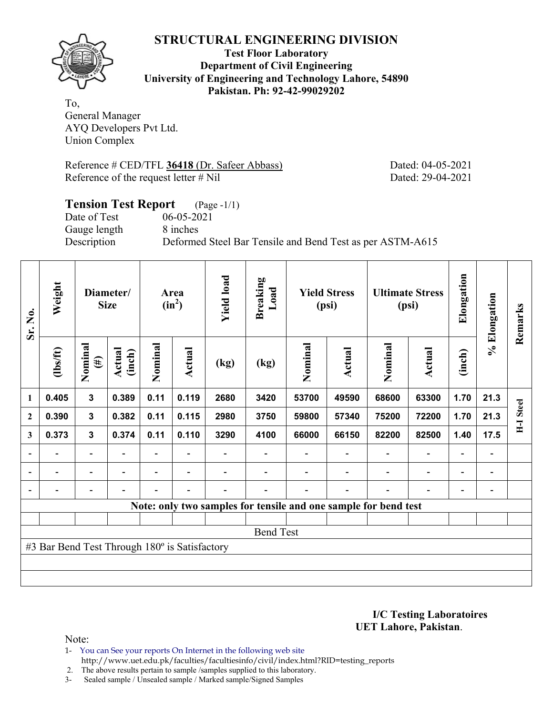

**Test Floor Laboratory Department of Civil Engineering University of Engineering and Technology Lahore, 54890 Pakistan. Ph: 92-42-99029202** 

To, General Manager AYQ Developers Pvt Ltd. Union Complex

Reference # CED/TFL **36418** (Dr. Safeer Abbass) Dated: 04-05-2021 Reference of the request letter # Nil Dated: 29-04-2021

# **Tension Test Report** (Page -1/1) Date of Test 06-05-2021 Gauge length 8 inches Description Deformed Steel Bar Tensile and Bend Test as per ASTM-A615

| Sr. No.        | Weight                                        |                          | Diameter/<br><b>Size</b> |                | Area<br>$(in^2)$         | <b>Yield load</b> | <b>Breaking</b><br>Load                                         |         | <b>Yield Stress</b><br>(psi) |                          | <b>Ultimate Stress</b><br>(psi) | Elongation               | % Elongation                 | Remarks          |
|----------------|-----------------------------------------------|--------------------------|--------------------------|----------------|--------------------------|-------------------|-----------------------------------------------------------------|---------|------------------------------|--------------------------|---------------------------------|--------------------------|------------------------------|------------------|
|                | $lbsft$                                       | Nominal<br>$(\#)$        | Actual<br>(inch)         | Nominal        | <b>Actual</b>            | (kg)              | (kg)                                                            | Nominal | <b>Actual</b>                | Nominal                  | <b>Actual</b>                   | (inch)                   |                              |                  |
| 1              | 0.405                                         | $\overline{\mathbf{3}}$  | 0.389                    | 0.11           | 0.119                    | 2680              | 3420                                                            | 53700   | 49590                        | 68600                    | 63300                           | 1.70                     | 21.3                         |                  |
| $\mathbf{2}$   | 0.390                                         | $\mathbf{3}$             | 0.382                    | 0.11           | 0.115                    | 2980              | 3750                                                            | 59800   | 57340                        | 75200                    | 72200                           | 1.70                     | 21.3                         | <b>H-I Steel</b> |
| 3              | 0.373                                         | $\mathbf{3}$             | 0.374                    | 0.11           | 0.110                    | 3290              | 4100                                                            | 66000   | 66150                        | 82200                    | 82500                           | 1.40                     | 17.5                         |                  |
| $\overline{a}$ |                                               | $\overline{\phantom{0}}$ |                          |                |                          |                   |                                                                 |         |                              |                          | $\overline{\phantom{0}}$        | $\overline{\phantom{0}}$ |                              |                  |
| $\blacksquare$ | $\overline{\phantom{0}}$                      | $\blacksquare$           | $\overline{\phantom{a}}$ | $\blacksquare$ | $\overline{\phantom{a}}$ |                   |                                                                 |         |                              | $\overline{\phantom{a}}$ | $\overline{a}$                  | $\overline{\phantom{0}}$ | $\qquad \qquad \blacksquare$ |                  |
|                |                                               | $\overline{\phantom{0}}$ |                          |                | $\overline{\phantom{a}}$ |                   |                                                                 |         | $\overline{\phantom{0}}$     | $\blacksquare$           | $\overline{\phantom{0}}$        | $\overline{\phantom{0}}$ |                              |                  |
|                |                                               |                          |                          |                |                          |                   | Note: only two samples for tensile and one sample for bend test |         |                              |                          |                                 |                          |                              |                  |
|                |                                               |                          |                          |                |                          |                   |                                                                 |         |                              |                          |                                 |                          |                              |                  |
|                |                                               |                          |                          |                |                          |                   | <b>Bend Test</b>                                                |         |                              |                          |                                 |                          |                              |                  |
|                | #3 Bar Bend Test Through 180° is Satisfactory |                          |                          |                |                          |                   |                                                                 |         |                              |                          |                                 |                          |                              |                  |
|                |                                               |                          |                          |                |                          |                   |                                                                 |         |                              |                          |                                 |                          |                              |                  |
|                |                                               |                          |                          |                |                          |                   |                                                                 |         |                              |                          |                                 |                          |                              |                  |

**I/C Testing Laboratoires UET Lahore, Pakistan**.

Note:

1- You can See your reports On Internet in the following web site http://www.uet.edu.pk/faculties/facultiesinfo/civil/index.html?RID=testing\_reports

2. The above results pertain to sample /samples supplied to this laboratory.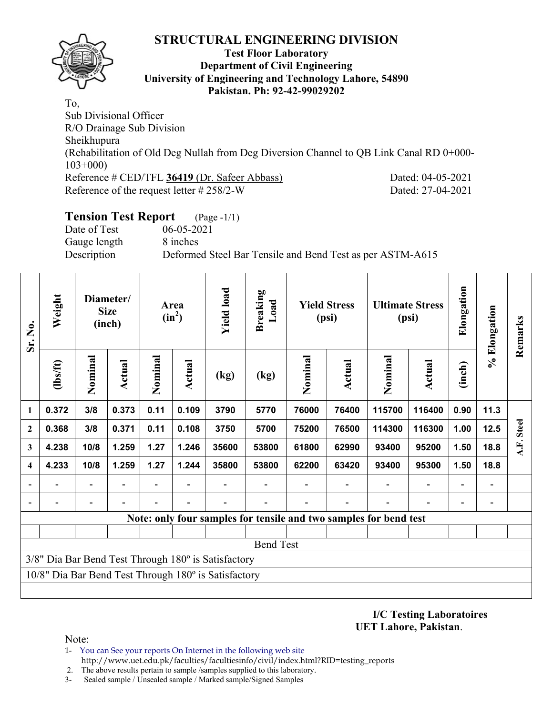

### **Test Floor Laboratory Department of Civil Engineering University of Engineering and Technology Lahore, 54890 Pakistan. Ph: 92-42-99029202**

To, Sub Divisional Officer R/O Drainage Sub Division Sheikhupura (Rehabilitation of Old Deg Nullah from Deg Diversion Channel to QB Link Canal RD 0+000- 103+000) Reference # CED/TFL **36419** (Dr. Safeer Abbass) Dated: 04-05-2021 Reference of the request letter # 258/2-W Dated: 27-04-2021

# **Tension Test Report** (Page -1/1)

Date of Test 06-05-2021 Gauge length 8 inches

Description Deformed Steel Bar Tensile and Bend Test as per ASTM-A615

| Sr. No.                 | Weight                                                            |         | Diameter/<br><b>Size</b><br>(inch) |         | Area<br>$(in^2)$ | <b>Yield load</b>                                    | <b>Breaking</b><br>Load |         | <b>Yield Stress</b><br>(psi) |         | <b>Ultimate Stress</b><br>(psi) | Elongation | % Elongation | Remarks      |
|-------------------------|-------------------------------------------------------------------|---------|------------------------------------|---------|------------------|------------------------------------------------------|-------------------------|---------|------------------------------|---------|---------------------------------|------------|--------------|--------------|
|                         | (1bs/ft)                                                          | Nominal | Actual                             | Nominal | Actual           | (kg)                                                 | (kg)                    | Nominal | <b>Actual</b>                | Nominal | Actual                          | (inch)     |              |              |
| 1                       | 0.372                                                             | 3/8     | 0.373                              | 0.11    | 0.109            | 3790                                                 | 5770                    | 76000   | 76400                        | 115700  | 116400                          | 0.90       | 11.3         |              |
| $\mathbf{2}$            | 0.368                                                             | 3/8     | 0.371                              | 0.11    | 0.108            | 3750                                                 | 5700                    | 75200   | 76500                        | 114300  | 116300                          | 1.00       | 12.5         | <b>Steel</b> |
| 3                       | 4.238                                                             | 10/8    | 1.259                              | 1.27    | 1.246            | 35600                                                | 53800                   | 61800   | 62990                        | 93400   | 95200                           | 1.50       | 18.8         | A.F.         |
| $\overline{\mathbf{4}}$ | 4.233                                                             | 10/8    | 1.259                              | 1.27    | 1.244            | 35800                                                | 53800                   | 62200   | 63420                        | 93400   | 95300                           | 1.50       | 18.8         |              |
|                         |                                                                   |         |                                    |         |                  |                                                      |                         |         |                              |         |                                 |            |              |              |
| $\overline{a}$          |                                                                   |         |                                    |         |                  |                                                      |                         |         |                              |         |                                 |            |              |              |
|                         | Note: only four samples for tensile and two samples for bend test |         |                                    |         |                  |                                                      |                         |         |                              |         |                                 |            |              |              |
|                         |                                                                   |         |                                    |         |                  |                                                      |                         |         |                              |         |                                 |            |              |              |
|                         |                                                                   |         |                                    |         |                  |                                                      | <b>Bend Test</b>        |         |                              |         |                                 |            |              |              |
|                         |                                                                   |         |                                    |         |                  | 3/8" Dia Bar Bend Test Through 180° is Satisfactory  |                         |         |                              |         |                                 |            |              |              |
|                         |                                                                   |         |                                    |         |                  | 10/8" Dia Bar Bend Test Through 180° is Satisfactory |                         |         |                              |         |                                 |            |              |              |
|                         |                                                                   |         |                                    |         |                  |                                                      |                         |         |                              |         |                                 |            |              |              |

**I/C Testing Laboratoires UET Lahore, Pakistan**.

- 1- You can See your reports On Internet in the following web site http://www.uet.edu.pk/faculties/facultiesinfo/civil/index.html?RID=testing\_reports
- 2. The above results pertain to sample /samples supplied to this laboratory.
- 3- Sealed sample / Unsealed sample / Marked sample/Signed Samples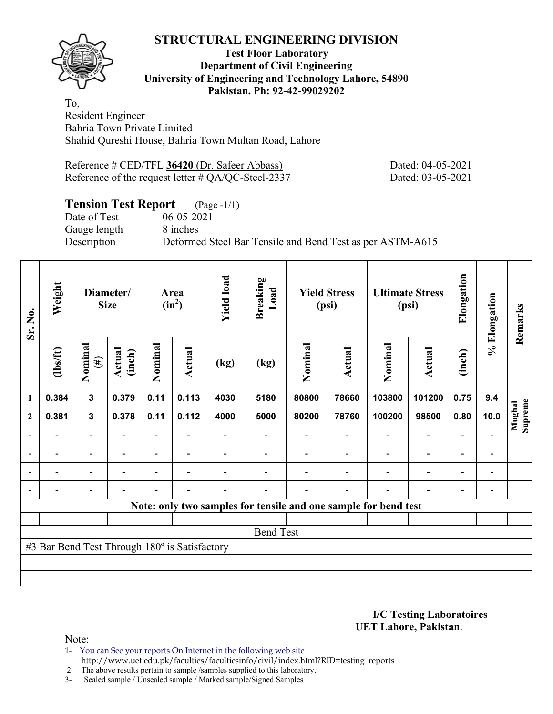## **Test Floor Laboratory Department of Civil Engineering University of Engineering and Technology Lahore, 54890 Pakistan. Ph: 92-42-99029202**

To, Resident Engineer Bahria Town Private Limited Shahid Qureshi House, Bahria Town Multan Road, Lahore

Reference # CED/TFL **36420** (Dr. Safeer Abbass) Dated: 04-05-2021 Reference of the request letter # QA/QC-Steel-2337 Dated: 03-05-2021

# **Tension Test Report** (Page -1/1)<br>Date of Test 06-05-2021

Date of Test Gauge length 8 inches

Description Deformed Steel Bar Tensile and Bend Test as per ASTM-A615

| Sr. No.                  | Weight                                        |                          | Diameter/<br><b>Size</b> |                          | Area<br>$(in^2)$         | <b>Yield load</b> | <b>Breaking</b><br>Load |         | <b>Yield Stress</b><br>(psi) |                                                                 | <b>Ultimate Stress</b><br>(psi) | Elongation               | % Elongation             | Remarks           |
|--------------------------|-----------------------------------------------|--------------------------|--------------------------|--------------------------|--------------------------|-------------------|-------------------------|---------|------------------------------|-----------------------------------------------------------------|---------------------------------|--------------------------|--------------------------|-------------------|
|                          | $\frac{2}{10}$                                | Nominal<br>$(\#)$        | Actual<br>(inch)         | Nominal                  | <b>Actual</b>            | (kg)              | (kg)                    | Nominal | Actual                       | Nominal                                                         | Actual                          | (inch)                   |                          |                   |
| 1                        | 0.384                                         | $\mathbf{3}$             | 0.379                    | 0.11                     | 0.113                    | 4030              | 5180                    | 80800   | 78660                        | 103800                                                          | 101200                          | 0.75                     | 9.4                      |                   |
| $\overline{2}$           | 0.381                                         | $\mathbf{3}$             | 0.378                    | 0.11                     | 0.112                    | 4000              | 5000                    | 80200   | 78760                        | 100200                                                          | 98500                           | 0.80                     | 10.0                     | Mughal<br>Supreme |
|                          |                                               |                          |                          |                          |                          |                   |                         |         |                              |                                                                 | $\qquad \qquad \blacksquare$    | $\overline{\phantom{0}}$ |                          |                   |
| $\overline{\phantom{a}}$ | $\blacksquare$                                | $\overline{\phantom{a}}$ | $\blacksquare$           | $\blacksquare$           | $\overline{\phantom{a}}$ |                   |                         |         | $\overline{\phantom{a}}$     | $\blacksquare$                                                  | $\overline{a}$                  | $\overline{\phantom{a}}$ | $\overline{\phantom{a}}$ |                   |
|                          | $\blacksquare$                                | $\overline{\phantom{a}}$ |                          | $\blacksquare$           | ۰                        |                   |                         |         |                              | $\blacksquare$                                                  | $\overline{\phantom{0}}$        | $\overline{\phantom{a}}$ | $\blacksquare$           |                   |
|                          |                                               | $\overline{\phantom{a}}$ |                          | $\overline{\phantom{0}}$ | $\overline{\phantom{0}}$ | $\blacksquare$    |                         |         | $\overline{\phantom{0}}$     | ۰                                                               | $\overline{\phantom{0}}$        | $\overline{\phantom{0}}$ | ۰                        |                   |
|                          |                                               |                          |                          |                          |                          |                   |                         |         |                              | Note: only two samples for tensile and one sample for bend test |                                 |                          |                          |                   |
|                          |                                               |                          |                          |                          |                          |                   |                         |         |                              |                                                                 |                                 |                          |                          |                   |
|                          |                                               |                          |                          |                          |                          |                   | <b>Bend Test</b>        |         |                              |                                                                 |                                 |                          |                          |                   |
|                          | #3 Bar Bend Test Through 180° is Satisfactory |                          |                          |                          |                          |                   |                         |         |                              |                                                                 |                                 |                          |                          |                   |
|                          |                                               |                          |                          |                          |                          |                   |                         |         |                              |                                                                 |                                 |                          |                          |                   |
|                          |                                               |                          |                          |                          |                          |                   |                         |         |                              |                                                                 |                                 |                          |                          |                   |

**I/C Testing Laboratoires UET Lahore, Pakistan**.

Note:

1- You can See your reports On Internet in the following web site http://www.uet.edu.pk/faculties/facultiesinfo/civil/index.html?RID=testing\_reports

2. The above results pertain to sample /samples supplied to this laboratory.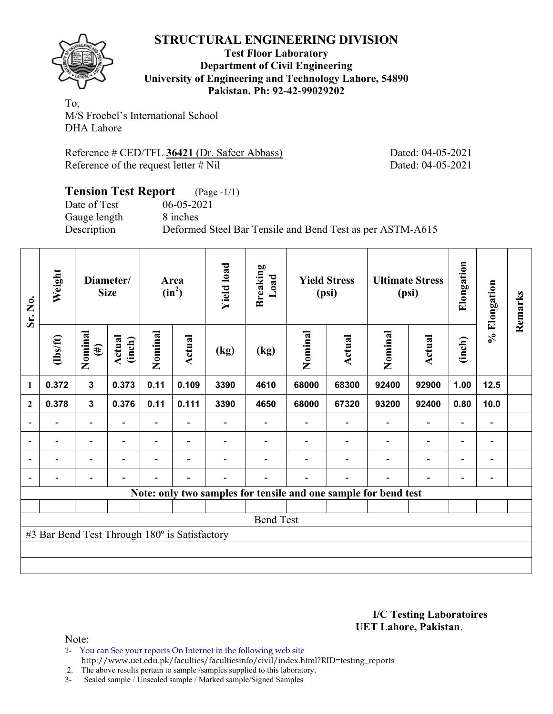

### **Test Floor Laboratory Department of Civil Engineering University of Engineering and Technology Lahore, 54890 Pakistan. Ph: 92-42-99029202**

To, M/S Froebel's International School DHA Lahore

Reference # CED/TFL **36421** (Dr. Safeer Abbass) Dated: 04-05-2021 Reference of the request letter # Nil Dated: 04-05-2021

### **Tension Test Report** (Page -1/1) Date of Test 06-05-2021<br>Gauge length 8 inches Gauge length Description Deformed Steel Bar Tensile and Bend Test as per ASTM-A615

| Sr. No.                  | Weight                                        |                          | Diameter/<br><b>Size</b> |         | Area<br>$(in^2)$         | <b>Yield load</b> | <b>Breaking</b><br>Load                                         |         | <b>Yield Stress</b><br>(psi) |         | <b>Ultimate Stress</b><br>(psi) | Elongation | % Elongation             | Remarks |
|--------------------------|-----------------------------------------------|--------------------------|--------------------------|---------|--------------------------|-------------------|-----------------------------------------------------------------|---------|------------------------------|---------|---------------------------------|------------|--------------------------|---------|
|                          | $\frac{2}{10}$                                | Nominal<br>$(\#)$        | Actual<br>(inch)         | Nominal | Actual                   | (kg)              | (kg)                                                            | Nominal | Actual                       | Nominal | <b>Actual</b>                   | (inch)     |                          |         |
| 1                        | 0.372                                         | $\mathbf{3}$             | 0.373                    | 0.11    | 0.109                    | 3390              | 4610                                                            | 68000   | 68300                        | 92400   | 92900                           | 1.00       | 12.5                     |         |
| $\mathbf{2}$             | 0.378                                         | $\mathbf{3}$             | 0.376                    | 0.11    | 0.111                    | 3390              | 4650                                                            | 68000   | 67320                        | 93200   | 92400                           | 0.80       | 10.0                     |         |
|                          |                                               | $\blacksquare$           |                          | Ξ.      |                          |                   |                                                                 |         |                              |         |                                 |            | -                        |         |
| $\overline{a}$           |                                               | -                        |                          |         | $\overline{\phantom{a}}$ |                   |                                                                 |         |                              |         |                                 |            | -                        |         |
| $\overline{\phantom{0}}$ | -                                             | $\overline{\phantom{0}}$ | $\blacksquare$           |         | $\overline{\phantom{a}}$ |                   |                                                                 |         |                              |         | $\overline{\phantom{0}}$        | ۰          | $\overline{\phantom{a}}$ |         |
| $\blacksquare$           | $\blacksquare$                                | $\overline{\phantom{0}}$ |                          |         | ۰                        |                   |                                                                 |         |                              |         |                                 |            | -                        |         |
|                          |                                               |                          |                          |         |                          |                   | Note: only two samples for tensile and one sample for bend test |         |                              |         |                                 |            |                          |         |
|                          |                                               |                          |                          |         |                          |                   |                                                                 |         |                              |         |                                 |            |                          |         |
|                          | <b>Bend Test</b>                              |                          |                          |         |                          |                   |                                                                 |         |                              |         |                                 |            |                          |         |
|                          | #3 Bar Bend Test Through 180° is Satisfactory |                          |                          |         |                          |                   |                                                                 |         |                              |         |                                 |            |                          |         |
|                          |                                               |                          |                          |         |                          |                   |                                                                 |         |                              |         |                                 |            |                          |         |
|                          |                                               |                          |                          |         |                          |                   |                                                                 |         |                              |         |                                 |            |                          |         |

**I/C Testing Laboratoires UET Lahore, Pakistan**.

Note:

1- You can See your reports On Internet in the following web site http://www.uet.edu.pk/faculties/facultiesinfo/civil/index.html?RID=testing\_reports

2. The above results pertain to sample /samples supplied to this laboratory.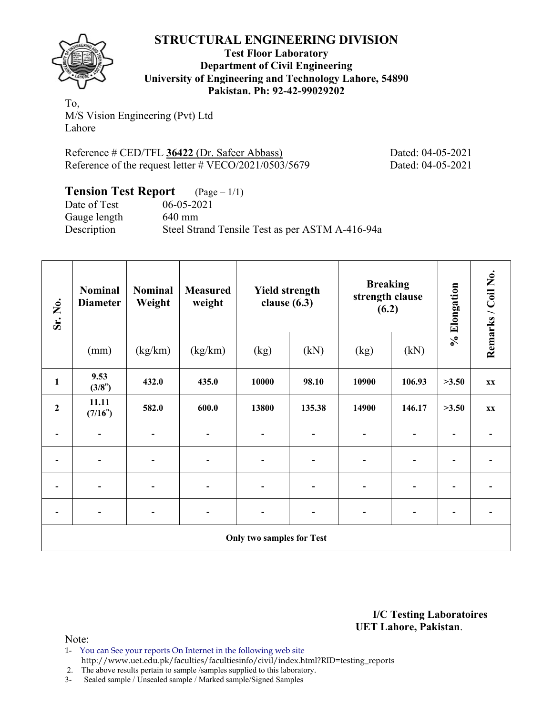

**Test Floor Laboratory Department of Civil Engineering University of Engineering and Technology Lahore, 54890 Pakistan. Ph: 92-42-99029202** 

To, M/S Vision Engineering (Pvt) Ltd Lahore

Reference # CED/TFL **36422** (Dr. Safeer Abbass) Dated: 04-05-2021 Reference of the request letter # VECO/2021/0503/5679 Dated: 04-05-2021

| <b>Tension Test Report</b> $(\text{Page} - 1/1)$ |                                                 |
|--------------------------------------------------|-------------------------------------------------|
| Date of Test                                     | $06 - 05 - 2021$                                |
| Gauge length                                     | $640 \text{ mm}$                                |
| Description                                      | Steel Strand Tensile Test as per ASTM A-416-94a |

| Sr. No.                      | <b>Nominal</b><br><b>Diameter</b> | <b>Nominal</b><br>Weight | <b>Measured</b><br>weight    | <b>Yield strength</b><br>clause $(6.3)$ |        | <b>Breaking</b><br>strength clause<br>(6.2) |                | % Elongation             | Remarks / Coil No.       |
|------------------------------|-----------------------------------|--------------------------|------------------------------|-----------------------------------------|--------|---------------------------------------------|----------------|--------------------------|--------------------------|
|                              | (mm)                              | (kg/km)                  | (kg/km)                      | (kg)                                    | (kN)   | (kg)                                        | (kN)           |                          |                          |
| $\mathbf{1}$                 | 9.53<br>(3/8")                    | 432.0                    | 435.0                        | 10000                                   | 98.10  | 10900                                       | 106.93         | >3.50                    | XX                       |
| $\boldsymbol{2}$             | 11.11<br>(7/16")                  | 582.0                    | 600.0                        | 13800                                   | 135.38 | 14900                                       | 146.17         | >3.50                    | <b>XX</b>                |
| -                            |                                   |                          | $\qquad \qquad \blacksquare$ | ۰                                       |        | $\blacksquare$                              | $\overline{a}$ | $\blacksquare$           | ۰                        |
| $\qquad \qquad \blacksquare$ |                                   |                          | $\overline{\phantom{a}}$     | ۰                                       |        | $\overline{\phantom{a}}$                    |                | $\overline{\phantom{a}}$ | $\overline{\phantom{0}}$ |
| $\qquad \qquad \blacksquare$ | $\overline{\phantom{0}}$          |                          | $\qquad \qquad \blacksquare$ | -                                       |        | $\overline{\phantom{a}}$                    | $\overline{a}$ | $\blacksquare$           | $\overline{\phantom{0}}$ |
| -                            |                                   |                          | $\qquad \qquad \blacksquare$ |                                         |        | -                                           | $\overline{a}$ | $\overline{\phantom{0}}$ |                          |
|                              |                                   |                          |                              | <b>Only two samples for Test</b>        |        |                                             |                |                          |                          |

**I/C Testing Laboratoires UET Lahore, Pakistan**.

Note:

1- You can See your reports On Internet in the following web site http://www.uet.edu.pk/faculties/facultiesinfo/civil/index.html?RID=testing\_reports

2. The above results pertain to sample /samples supplied to this laboratory.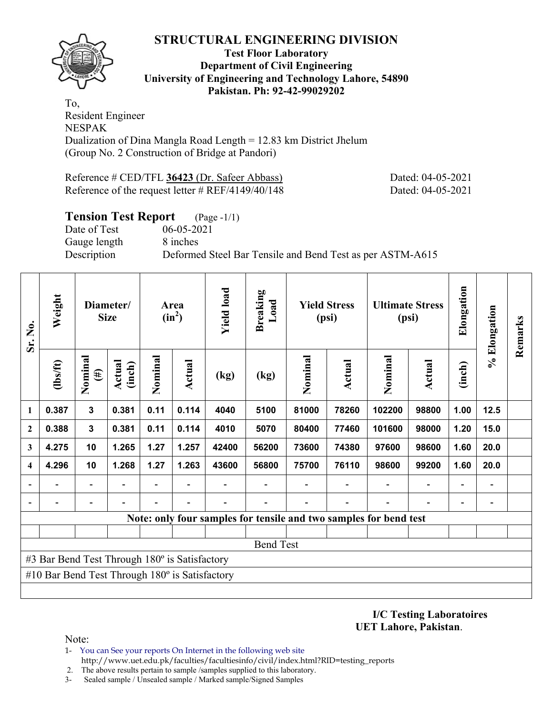

### **Test Floor Laboratory Department of Civil Engineering University of Engineering and Technology Lahore, 54890 Pakistan. Ph: 92-42-99029202**

To, Resident Engineer NESPAK Dualization of Dina Mangla Road Length = 12.83 km District Jhelum (Group No. 2 Construction of Bridge at Pandori)

Reference # CED/TFL **36423** (Dr. Safeer Abbass) Dated: 04-05-2021 Reference of the request letter # REF/4149/40/148 Dated: 04-05-2021

# **Tension Test Report** (Page -1/1) Date of Test 06-05-2021 Gauge length 8 inches Description Deformed Steel Bar Tensile and Bend Test as per ASTM-A615

| Sr. No.        | Weight                                                |                              | Diameter/<br><b>Size</b> |                          | Area<br>$(in^2)$         | <b>Yield load</b> | <b>Breaking</b><br>Load  |         | <b>Yield Stress</b><br>(psi) |                                                                   | <b>Ultimate Stress</b><br>(psi) | Elongation               | % Elongation                 | Remarks |
|----------------|-------------------------------------------------------|------------------------------|--------------------------|--------------------------|--------------------------|-------------------|--------------------------|---------|------------------------------|-------------------------------------------------------------------|---------------------------------|--------------------------|------------------------------|---------|
|                | $\frac{2}{10}$                                        | Nominal<br>$(\#)$            | <b>Actual</b><br>(inch)  | Nominal                  | <b>Actual</b>            | (kg)              | (kg)                     | Nominal | Actual                       | Nominal                                                           | <b>Actual</b>                   | (inch)                   |                              |         |
| 1              | 0.387                                                 | 3                            | 0.381                    | 0.11                     | 0.114                    | 4040              | 5100                     | 81000   | 78260                        | 102200                                                            | 98800                           | 1.00                     | 12.5                         |         |
| $\mathbf{2}$   | 0.388                                                 | $\mathbf{3}$                 | 0.381                    | 0.11                     | 0.114                    | 4010              | 5070                     | 80400   | 77460                        | 101600                                                            | 98000                           | 1.20                     | 15.0                         |         |
| 3              | 4.275                                                 | 10                           | 1.265                    | 1.27                     | 1.257                    | 42400             | 56200                    | 73600   | 74380                        | 97600                                                             | 98600                           | 1.60                     | 20.0                         |         |
| 4              | 4.296                                                 | 10                           | 1.268                    | 1.27                     | 1.263                    | 43600             | 56800                    | 75700   | 76110                        | 98600                                                             | 99200                           | 1.60                     | 20.0                         |         |
| $\blacksquare$ |                                                       | $\overline{a}$               | $\overline{\phantom{0}}$ | $\overline{\phantom{0}}$ |                          |                   | $\overline{\phantom{0}}$ |         |                              | $\overline{\phantom{a}}$                                          | $\overline{\phantom{a}}$        |                          | $\qquad \qquad \blacksquare$ |         |
|                |                                                       | $\qquad \qquad \blacksquare$ |                          |                          | $\overline{\phantom{0}}$ |                   |                          |         |                              |                                                                   | $\overline{a}$                  | $\overline{\phantom{0}}$ | $\qquad \qquad \blacksquare$ |         |
|                |                                                       |                              |                          |                          |                          |                   |                          |         |                              | Note: only four samples for tensile and two samples for bend test |                                 |                          |                              |         |
|                |                                                       |                              |                          |                          |                          |                   |                          |         |                              |                                                                   |                                 |                          |                              |         |
|                | <b>Bend Test</b>                                      |                              |                          |                          |                          |                   |                          |         |                              |                                                                   |                                 |                          |                              |         |
|                | #3 Bar Bend Test Through 180° is Satisfactory         |                              |                          |                          |                          |                   |                          |         |                              |                                                                   |                                 |                          |                              |         |
|                | #10 Bar Bend Test Through $180^\circ$ is Satisfactory |                              |                          |                          |                          |                   |                          |         |                              |                                                                   |                                 |                          |                              |         |
|                |                                                       |                              |                          |                          |                          |                   |                          |         |                              |                                                                   |                                 |                          |                              |         |

**I/C Testing Laboratoires UET Lahore, Pakistan**.

- 1- You can See your reports On Internet in the following web site http://www.uet.edu.pk/faculties/facultiesinfo/civil/index.html?RID=testing\_reports
- 2. The above results pertain to sample /samples supplied to this laboratory.
- 3- Sealed sample / Unsealed sample / Marked sample/Signed Samples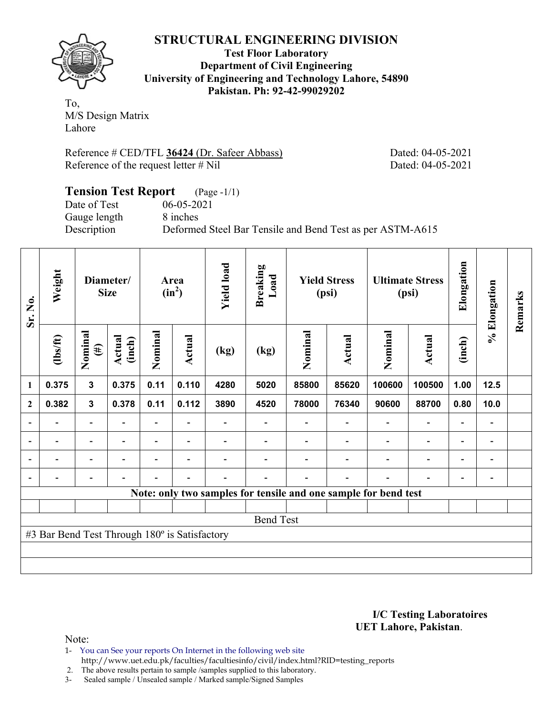**Test Floor Laboratory Department of Civil Engineering University of Engineering and Technology Lahore, 54890 Pakistan. Ph: 92-42-99029202** 

To, M/S Design Matrix Lahore

Reference # CED/TFL **36424** (Dr. Safeer Abbass) Dated: 04-05-2021 Reference of the request letter # Nil Dated: 04-05-2021

## **Tension Test Report** (Page -1/1) Date of Test 06-05-2021<br>Gauge length 8 inches Gauge length Description Deformed Steel Bar Tensile and Bend Test as per ASTM-A615

| Sr. No.                  | Weight                                        |                              | Diameter/<br><b>Size</b> |         | Area<br>$(in^2)$         | <b>Yield load</b>        | <b>Breaking</b><br>Load                                         |         | <b>Yield Stress</b><br>(psi) |         | <b>Ultimate Stress</b><br>(psi) | Elongation               | % Elongation             | Remarks |
|--------------------------|-----------------------------------------------|------------------------------|--------------------------|---------|--------------------------|--------------------------|-----------------------------------------------------------------|---------|------------------------------|---------|---------------------------------|--------------------------|--------------------------|---------|
|                          | $\frac{2}{10}$                                | Nominal<br>$(\#)$            | Actual<br>(inch)         | Nominal | Actual                   | (kg)                     | (kg)                                                            | Nominal | <b>Actual</b>                | Nominal | <b>Actual</b>                   | (inch)                   |                          |         |
| $\mathbf{1}$             | 0.375                                         | $\mathbf{3}$                 | 0.375                    | 0.11    | 0.110                    | 4280                     | 5020                                                            | 85800   | 85620                        | 100600  | 100500                          | 1.00                     | 12.5                     |         |
| $\overline{2}$           | 0.382                                         | $\mathbf{3}$                 | 0.378                    | 0.11    | 0.112                    | 3890                     | 4520                                                            | 78000   | 76340                        | 90600   | 88700                           | 0.80                     | 10.0                     |         |
| $\overline{\phantom{a}}$ |                                               | $\overline{\phantom{0}}$     |                          |         |                          |                          |                                                                 |         |                              |         |                                 |                          | -                        |         |
| $\overline{\phantom{a}}$ | $\overline{\phantom{0}}$                      | $\overline{\phantom{a}}$     |                          |         |                          |                          |                                                                 |         |                              |         |                                 |                          | -                        |         |
| $\overline{\phantom{a}}$ |                                               | $\overline{\phantom{a}}$     | $\overline{\phantom{a}}$ |         | $\overline{\phantom{a}}$ |                          |                                                                 |         |                              |         | $\overline{\phantom{0}}$        | $\overline{\phantom{0}}$ | $\overline{\phantom{a}}$ |         |
| $\blacksquare$           | $\overline{\phantom{0}}$                      | $\qquad \qquad \blacksquare$ |                          |         | $\overline{\phantom{0}}$ | $\overline{\phantom{0}}$ |                                                                 |         |                              |         |                                 | $\overline{\phantom{0}}$ | -                        |         |
|                          |                                               |                              |                          |         |                          |                          | Note: only two samples for tensile and one sample for bend test |         |                              |         |                                 |                          |                          |         |
|                          |                                               |                              |                          |         |                          |                          |                                                                 |         |                              |         |                                 |                          |                          |         |
|                          |                                               |                              |                          |         |                          |                          | <b>Bend Test</b>                                                |         |                              |         |                                 |                          |                          |         |
|                          | #3 Bar Bend Test Through 180° is Satisfactory |                              |                          |         |                          |                          |                                                                 |         |                              |         |                                 |                          |                          |         |
|                          |                                               |                              |                          |         |                          |                          |                                                                 |         |                              |         |                                 |                          |                          |         |
|                          |                                               |                              |                          |         |                          |                          |                                                                 |         |                              |         |                                 |                          |                          |         |

### **I/C Testing Laboratoires UET Lahore, Pakistan**.

Note:

1- You can See your reports On Internet in the following web site http://www.uet.edu.pk/faculties/facultiesinfo/civil/index.html?RID=testing\_reports

2. The above results pertain to sample /samples supplied to this laboratory.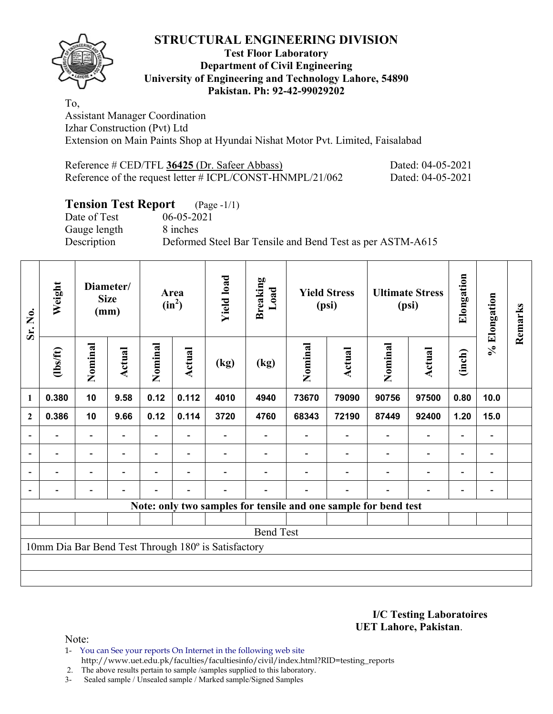### **Test Floor Laboratory Department of Civil Engineering University of Engineering and Technology Lahore, 54890 Pakistan. Ph: 92-42-99029202**

To, Assistant Manager Coordination Izhar Construction (Pvt) Ltd Extension on Main Paints Shop at Hyundai Nishat Motor Pvt. Limited, Faisalabad

| Reference # CED/TFL 36425 (Dr. Safeer Abbass)             | Dated: 04-05-2021 |
|-----------------------------------------------------------|-------------------|
| Reference of the request letter # ICPL/CONST-HNMPL/21/062 | Dated: 04-05-2021 |

# **Tension Test Report** (Page -1/1)<br>Date of Test 06-05-2021

Gauge length 8 inches

06-05-2021 Description Deformed Steel Bar Tensile and Bend Test as per ASTM-A615

| Sr. No.          | Weight   |                          | Diameter/<br><b>Size</b><br>(mm) |                          | Area<br>$(in^2)$         | <b>Yield load</b>                                   | <b>Breaking</b><br>Load |         | <b>Yield Stress</b><br>(psi) |                                                                 | <b>Ultimate Stress</b><br>(psi) | Elongation               | % Elongation                 | Remarks |
|------------------|----------|--------------------------|----------------------------------|--------------------------|--------------------------|-----------------------------------------------------|-------------------------|---------|------------------------------|-----------------------------------------------------------------|---------------------------------|--------------------------|------------------------------|---------|
|                  | (1bs/ft) | Nominal                  | Actual                           | Nominal                  | <b>Actual</b>            | (kg)                                                | (kg)                    | Nominal | Actual                       | Nominal                                                         | Actual                          | (inch)                   |                              |         |
| $\mathbf{1}$     | 0.380    | 10                       | 9.58                             | 0.12                     | 0.112                    | 4010                                                | 4940                    | 73670   | 79090                        | 90756                                                           | 97500                           | 0.80                     | 10.0                         |         |
| $\boldsymbol{2}$ | 0.386    | 10                       | 9.66                             | 0.12                     | 0.114                    | 3720                                                | 4760                    | 68343   | 72190                        | 87449                                                           | 92400                           | 1.20                     | 15.0                         |         |
| $\overline{a}$   |          | Ξ.                       |                                  |                          |                          |                                                     |                         |         |                              |                                                                 | $\blacksquare$                  | $\overline{\phantom{0}}$ |                              |         |
| $\blacksquare$   |          | $\overline{\phantom{a}}$ | $\overline{\phantom{a}}$         |                          | $\blacksquare$           |                                                     |                         |         |                              | $\blacksquare$                                                  | $\overline{\phantom{0}}$        | $\overline{\phantom{0}}$ | $\qquad \qquad \blacksquare$ |         |
|                  | Ξ.       | Ξ.                       |                                  | $\overline{\phantom{0}}$ | $\overline{\phantom{0}}$ |                                                     |                         |         |                              | $\blacksquare$                                                  | $\blacksquare$                  | $\overline{\phantom{0}}$ | $\blacksquare$               |         |
|                  |          | -                        | $\overline{\phantom{0}}$         |                          | $\blacksquare$           |                                                     |                         |         | $\overline{\phantom{0}}$     | $\blacksquare$                                                  | $\overline{a}$                  | $\overline{\phantom{a}}$ |                              |         |
|                  |          |                          |                                  |                          |                          |                                                     |                         |         |                              | Note: only two samples for tensile and one sample for bend test |                                 |                          |                              |         |
|                  |          |                          |                                  |                          |                          |                                                     |                         |         |                              |                                                                 |                                 |                          |                              |         |
|                  |          |                          |                                  |                          |                          |                                                     | <b>Bend Test</b>        |         |                              |                                                                 |                                 |                          |                              |         |
|                  |          |                          |                                  |                          |                          | 10mm Dia Bar Bend Test Through 180° is Satisfactory |                         |         |                              |                                                                 |                                 |                          |                              |         |
|                  |          |                          |                                  |                          |                          |                                                     |                         |         |                              |                                                                 |                                 |                          |                              |         |
|                  |          |                          |                                  |                          |                          |                                                     |                         |         |                              |                                                                 |                                 |                          |                              |         |

**I/C Testing Laboratoires UET Lahore, Pakistan**.

- 1- You can See your reports On Internet in the following web site http://www.uet.edu.pk/faculties/facultiesinfo/civil/index.html?RID=testing\_reports
- 2. The above results pertain to sample /samples supplied to this laboratory.
- 3- Sealed sample / Unsealed sample / Marked sample/Signed Samples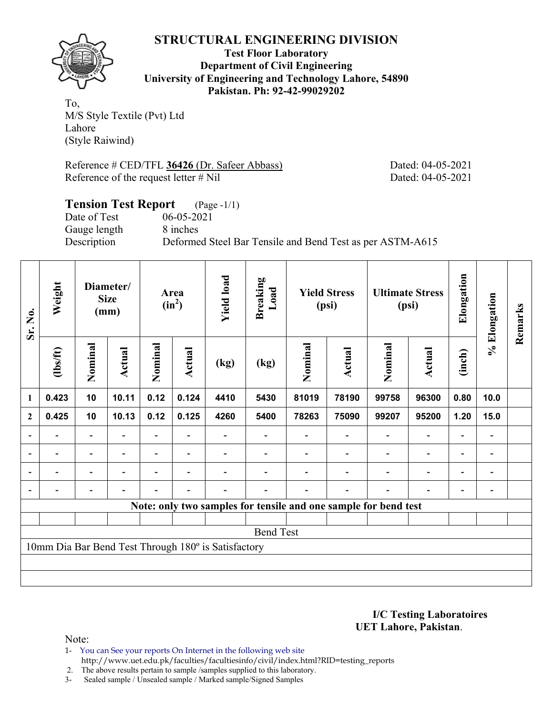

**Test Floor Laboratory Department of Civil Engineering University of Engineering and Technology Lahore, 54890 Pakistan. Ph: 92-42-99029202** 

To, M/S Style Textile (Pvt) Ltd Lahore (Style Raiwind)

Reference # CED/TFL **36426** (Dr. Safeer Abbass) Dated: 04-05-2021 Reference of the request letter # Nil Dated: 04-05-2021

# **Tension Test Report** (Page -1/1) Date of Test 06-05-2021 Gauge length 8 inches Description Deformed Steel Bar Tensile and Bend Test as per ASTM-A615

| Sr. No.        | Weight                                              |                          | Diameter/<br><b>Size</b><br>(mm) |         | Area<br>$(in^2)$         | <b>Yield load</b> | <b>Breaking</b><br>Load                                         |         | <b>Yield Stress</b><br>(psi) |                          | <b>Ultimate Stress</b><br>(psi) | Elongation               | % Elongation                 | Remarks |
|----------------|-----------------------------------------------------|--------------------------|----------------------------------|---------|--------------------------|-------------------|-----------------------------------------------------------------|---------|------------------------------|--------------------------|---------------------------------|--------------------------|------------------------------|---------|
|                | (1bs/ft)                                            | Nominal                  | Actual                           | Nominal | Actual                   | (kg)              | (kg)                                                            | Nominal | <b>Actual</b>                | Nominal                  | Actual                          | (inch)                   |                              |         |
| 1              | 0.423                                               | 10                       | 10.11                            | 0.12    | 0.124                    | 4410              | 5430                                                            | 81019   | 78190                        | 99758                    | 96300                           | 0.80                     | 10.0                         |         |
| $\mathbf{2}$   | 0.425                                               | 10                       | 10.13                            | 0.12    | 0.125                    | 4260              | 5400                                                            | 78263   | 75090                        | 99207                    | 95200                           | 1.20                     | 15.0                         |         |
|                |                                                     | $\overline{\phantom{0}}$ |                                  |         |                          |                   |                                                                 |         |                              |                          | $\qquad \qquad \blacksquare$    | $\overline{\phantom{0}}$ |                              |         |
| $\blacksquare$ | $\overline{\phantom{0}}$                            | $\overline{\phantom{a}}$ | $\blacksquare$                   |         | $\overline{\phantom{a}}$ |                   |                                                                 |         |                              | $\overline{\phantom{a}}$ | $\overline{\phantom{a}}$        | $\blacksquare$           | $\overline{\phantom{a}}$     |         |
|                | -                                                   | $\overline{\phantom{0}}$ |                                  |         | $\overline{\phantom{0}}$ |                   |                                                                 |         |                              |                          | $\overline{\phantom{a}}$        | $\overline{a}$           | $\overline{a}$               |         |
|                |                                                     | $\overline{\phantom{0}}$ | $\blacksquare$                   |         | $\blacksquare$           | $\blacksquare$    |                                                                 |         | $\overline{\phantom{a}}$     |                          | $\overline{\phantom{0}}$        | $\blacksquare$           | $\qquad \qquad \blacksquare$ |         |
|                |                                                     |                          |                                  |         |                          |                   | Note: only two samples for tensile and one sample for bend test |         |                              |                          |                                 |                          |                              |         |
|                |                                                     |                          |                                  |         |                          |                   |                                                                 |         |                              |                          |                                 |                          |                              |         |
|                |                                                     |                          |                                  |         |                          |                   | <b>Bend Test</b>                                                |         |                              |                          |                                 |                          |                              |         |
|                | 10mm Dia Bar Bend Test Through 180° is Satisfactory |                          |                                  |         |                          |                   |                                                                 |         |                              |                          |                                 |                          |                              |         |
|                |                                                     |                          |                                  |         |                          |                   |                                                                 |         |                              |                          |                                 |                          |                              |         |
|                |                                                     |                          |                                  |         |                          |                   |                                                                 |         |                              |                          |                                 |                          |                              |         |

**I/C Testing Laboratoires UET Lahore, Pakistan**.

Note:

1- You can See your reports On Internet in the following web site http://www.uet.edu.pk/faculties/facultiesinfo/civil/index.html?RID=testing\_reports

2. The above results pertain to sample /samples supplied to this laboratory.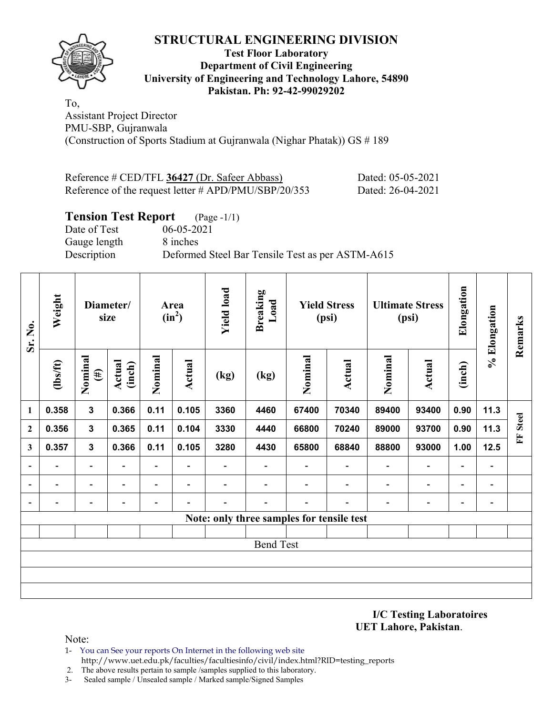### **Test Floor Laboratory Department of Civil Engineering University of Engineering and Technology Lahore, 54890 Pakistan. Ph: 92-42-99029202**

To, Assistant Project Director PMU-SBP, Gujranwala (Construction of Sports Stadium at Gujranwala (Nighar Phatak)) GS # 189

| Reference # CED/TFL 36427 (Dr. Safeer Abbass)           | Dated: 05-05-2021 |
|---------------------------------------------------------|-------------------|
| Reference of the request letter $\#$ APD/PMU/SBP/20/353 | Dated: 26-04-2021 |

# **Tension Test Report** (Page -1/1)

Date of Test 06-05-2021 Gauge length 8 inches

Description Deformed Steel Bar Tensile Test as per ASTM-A615

| Sr. No.                  | Weight<br>Diameter/<br>size |                          |                          | Area<br>$(in^2)$         |                              | <b>Yield load</b>        | <b>Breaking</b><br>Load  | <b>Yield Stress</b><br>(psi) |                                           | <b>Ultimate Stress</b><br>(psi) |                          | Elongation               | % Elongation             | Remarks  |
|--------------------------|-----------------------------|--------------------------|--------------------------|--------------------------|------------------------------|--------------------------|--------------------------|------------------------------|-------------------------------------------|---------------------------------|--------------------------|--------------------------|--------------------------|----------|
|                          | $\frac{2}{10}$              | Nominal<br>$(\#)$        | <b>Actual</b><br>(inch)  | Nominal                  | <b>Actual</b>                | (kg)                     | (kg)                     | Nominal                      | <b>Actual</b>                             | Nominal                         | <b>Actual</b>            | (inch)                   |                          |          |
| $\mathbf{1}$             | 0.358                       | $\mathbf{3}$             | 0.366                    | 0.11                     | 0.105                        | 3360                     | 4460                     | 67400                        | 70340                                     | 89400                           | 93400                    | 0.90                     | 11.3                     |          |
| $\boldsymbol{2}$         | 0.356                       | 3                        | 0.365                    | 0.11                     | 0.104                        | 3330                     | 4440                     | 66800                        | 70240                                     | 89000                           | 93700                    | 0.90                     | 11.3                     | FF Steel |
| 3                        | 0.357                       | $\mathbf{3}$             | 0.366                    | 0.11                     | 0.105                        | 3280                     | 4430                     | 65800                        | 68840                                     | 88800                           | 93000                    | 1.00                     | 12.5                     |          |
| $\overline{\phantom{a}}$ | $\overline{\phantom{0}}$    | $\overline{\phantom{a}}$ | $\overline{\phantom{0}}$ | $\overline{\phantom{0}}$ | $\overline{\phantom{a}}$     | $\blacksquare$           | $\overline{\phantom{a}}$ | $\blacksquare$               | $\overline{\phantom{a}}$                  | $\qquad \qquad \blacksquare$    | $\overline{\phantom{a}}$ | $\blacksquare$           | $\overline{\phantom{a}}$ |          |
| $\overline{\phantom{a}}$ | $\overline{\phantom{0}}$    | $\overline{\phantom{a}}$ | $\overline{\phantom{0}}$ | $\overline{\phantom{0}}$ | $\qquad \qquad \blacksquare$ | $\overline{\phantom{0}}$ | $\overline{\phantom{0}}$ | $\overline{\phantom{0}}$     | $\overline{\phantom{a}}$                  | $\blacksquare$                  | $\overline{\phantom{a}}$ | $\overline{\phantom{a}}$ | $\blacksquare$           |          |
| $\blacksquare$           | $\overline{\phantom{0}}$    | $\overline{\phantom{a}}$ | $\overline{\phantom{0}}$ | $\overline{\phantom{0}}$ | $\overline{a}$               | $\overline{\phantom{0}}$ | $\overline{\phantom{0}}$ | $\overline{\phantom{0}}$     | $\overline{\phantom{a}}$                  | $\overline{a}$                  | -                        | $\blacksquare$           | $\blacksquare$           |          |
|                          |                             |                          |                          |                          |                              |                          |                          |                              | Note: only three samples for tensile test |                                 |                          |                          |                          |          |
|                          |                             |                          |                          |                          |                              |                          |                          |                              |                                           |                                 |                          |                          |                          |          |
|                          |                             |                          |                          |                          |                              |                          | <b>Bend Test</b>         |                              |                                           |                                 |                          |                          |                          |          |
|                          |                             |                          |                          |                          |                              |                          |                          |                              |                                           |                                 |                          |                          |                          |          |
|                          |                             |                          |                          |                          |                              |                          |                          |                              |                                           |                                 |                          |                          |                          |          |
|                          |                             |                          |                          |                          |                              |                          |                          |                              |                                           |                                 |                          |                          |                          |          |

**I/C Testing Laboratoires UET Lahore, Pakistan**.

- 1- You can See your reports On Internet in the following web site http://www.uet.edu.pk/faculties/facultiesinfo/civil/index.html?RID=testing\_reports
- 2. The above results pertain to sample /samples supplied to this laboratory.
- 3- Sealed sample / Unsealed sample / Marked sample/Signed Samples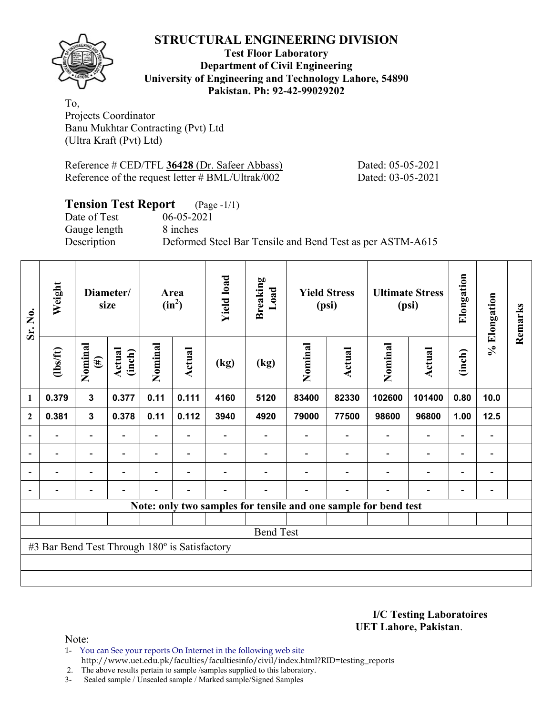

### **Test Floor Laboratory Department of Civil Engineering University of Engineering and Technology Lahore, 54890 Pakistan. Ph: 92-42-99029202**

To, Projects Coordinator Banu Mukhtar Contracting (Pvt) Ltd (Ultra Kraft (Pvt) Ltd)

| Reference # CED/TFL 36428 (Dr. Safeer Abbass)    |  |
|--------------------------------------------------|--|
| Reference of the request letter # BML/Ultrak/002 |  |

Dated: 05-05-2021 Dated: 03-05-2021

# **Tension Test Report** (Page -1/1)<br>Date of Test 06-05-2021

Gauge length 8 inches

06-05-2021 Description Deformed Steel Bar Tensile and Bend Test as per ASTM-A615

| Sr. No.                  | Weight                                        | Diameter/<br>size        |                  | Area<br>$(in^2)$ |                | <b>Yield load</b> | <b>Breaking</b><br>Load | <b>Yield Stress</b><br>(psi) |                | <b>Ultimate Stress</b><br>(psi)                                 |                          | Elongation               |                          | Remarks |
|--------------------------|-----------------------------------------------|--------------------------|------------------|------------------|----------------|-------------------|-------------------------|------------------------------|----------------|-----------------------------------------------------------------|--------------------------|--------------------------|--------------------------|---------|
|                          | $\frac{2}{10}$                                | Nominal<br>$(\#)$        | Actual<br>(inch) | Nominal          | Actual         | (kg)              | (kg)                    | Nominal                      | Actual         | Nominal                                                         | <b>Actual</b>            | (inch)                   | % Elongation             |         |
| 1                        | 0.379                                         | $\mathbf{3}$             | 0.377            | 0.11             | 0.111          | 4160              | 5120                    | 83400                        | 82330          | 102600                                                          | 101400                   | 0.80                     | 10.0                     |         |
| $\mathbf{2}$             | 0.381                                         | $\mathbf{3}$             | 0.378            | 0.11             | 0.112          | 3940              | 4920                    | 79000                        | 77500          | 98600                                                           | 96800                    | 1.00                     | $12.5$                   |         |
|                          |                                               | $\overline{\phantom{0}}$ |                  |                  |                |                   |                         |                              |                |                                                                 | $\overline{\phantom{0}}$ | $\overline{\phantom{0}}$ |                          |         |
|                          | $\overline{\phantom{0}}$                      | $\overline{\phantom{a}}$ |                  |                  | ۰              |                   |                         |                              |                | $\blacksquare$                                                  | $\overline{\phantom{0}}$ | $\overline{\phantom{a}}$ | $\overline{\phantom{0}}$ |         |
| $\overline{\phantom{a}}$ | $\blacksquare$                                | $\overline{\phantom{a}}$ | $\blacksquare$   |                  | $\blacksquare$ |                   |                         |                              | $\blacksquare$ | $\overline{\phantom{a}}$                                        | $\overline{a}$           | $\overline{\phantom{0}}$ | $\overline{\phantom{0}}$ |         |
|                          | $\overline{\phantom{0}}$                      | $\overline{\phantom{a}}$ |                  |                  | ۰              |                   |                         |                              | $\blacksquare$ | $\blacksquare$                                                  | $\overline{\phantom{0}}$ | $\overline{\phantom{a}}$ | $\blacksquare$           |         |
|                          |                                               |                          |                  |                  |                |                   |                         |                              |                | Note: only two samples for tensile and one sample for bend test |                          |                          |                          |         |
|                          |                                               |                          |                  |                  |                |                   |                         |                              |                |                                                                 |                          |                          |                          |         |
|                          |                                               |                          |                  |                  |                |                   | <b>Bend Test</b>        |                              |                |                                                                 |                          |                          |                          |         |
|                          | #3 Bar Bend Test Through 180° is Satisfactory |                          |                  |                  |                |                   |                         |                              |                |                                                                 |                          |                          |                          |         |
|                          |                                               |                          |                  |                  |                |                   |                         |                              |                |                                                                 |                          |                          |                          |         |
|                          |                                               |                          |                  |                  |                |                   |                         |                              |                |                                                                 |                          |                          |                          |         |

**I/C Testing Laboratoires UET Lahore, Pakistan**.

Note:

1- You can See your reports On Internet in the following web site http://www.uet.edu.pk/faculties/facultiesinfo/civil/index.html?RID=testing\_reports

2. The above results pertain to sample /samples supplied to this laboratory.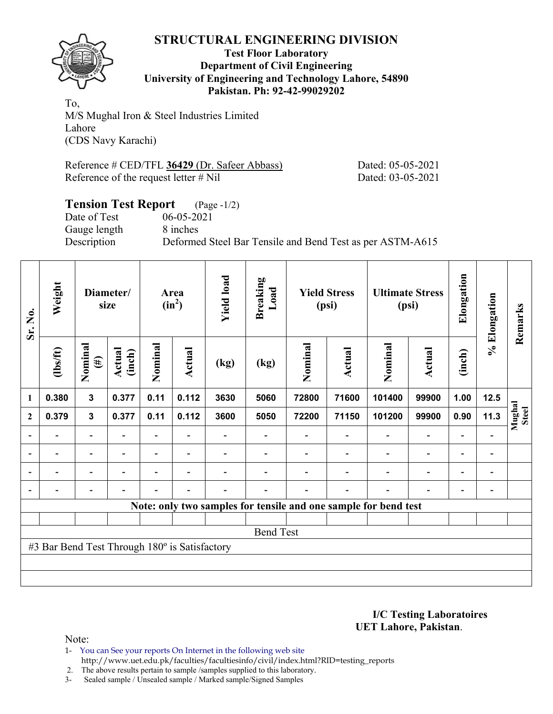

### **Test Floor Laboratory Department of Civil Engineering University of Engineering and Technology Lahore, 54890 Pakistan. Ph: 92-42-99029202**

To, M/S Mughal Iron & Steel Industries Limited Lahore (CDS Navy Karachi)

Reference # CED/TFL **36429** (Dr. Safeer Abbass) Dated: 05-05-2021 Reference of the request letter # Nil Dated: 03-05-2021

### **Tension Test Report** (Page -1/2) Date of Test 06-05-2021

Gauge length 8 inches

Description Deformed Steel Bar Tensile and Bend Test as per ASTM-A615

| Sr. No.                  | Weight<br>Diameter/<br>size                   |                          |                          |                          |                          | Area<br>$(in^2)$ |                  | <b>Yield load</b><br><b>Breaking</b><br>Load |                | <b>Yield Stress</b><br>(psi)                                    |                              |                          | <b>Ultimate Stress</b><br>(psi) | Elongation             | % Elongation | Remarks |
|--------------------------|-----------------------------------------------|--------------------------|--------------------------|--------------------------|--------------------------|------------------|------------------|----------------------------------------------|----------------|-----------------------------------------------------------------|------------------------------|--------------------------|---------------------------------|------------------------|--------------|---------|
|                          | $\frac{2}{10}$                                | Nominal<br>$(\#)$        | Actual<br>(inch)         | Nominal                  | Actual                   | (kg)             | (kg)             | Nominal                                      | <b>Actual</b>  | Nominal                                                         | Actual                       | (inch)                   |                                 |                        |              |         |
| 1                        | 0.380                                         | $\mathbf{3}$             | 0.377                    | 0.11                     | 0.112                    | 3630             | 5060             | 72800                                        | 71600          | 101400                                                          | 99900                        | 1.00                     | 12.5                            |                        |              |         |
| $\mathbf{2}$             | 0.379                                         | $\mathbf{3}$             | 0.377                    | 0.11                     | 0.112                    | 3600             | 5050             | 72200                                        | 71150          | 101200                                                          | 99900                        | 0.90                     | 11.3                            | Mughal<br><b>Steel</b> |              |         |
|                          |                                               | $\overline{\phantom{0}}$ |                          |                          |                          |                  |                  |                                              |                |                                                                 | $\overline{\phantom{0}}$     | $\overline{\phantom{0}}$ |                                 |                        |              |         |
| $\overline{\phantom{0}}$ | $\overline{\phantom{0}}$                      | $\overline{\phantom{a}}$ | $\overline{\phantom{0}}$ | $\overline{\phantom{0}}$ | $\blacksquare$           |                  |                  |                                              | $\blacksquare$ | $\blacksquare$                                                  | $\overline{a}$               | $\overline{\phantom{a}}$ | $\blacksquare$                  |                        |              |         |
|                          | $\overline{\phantom{0}}$                      | $\overline{\phantom{0}}$ |                          | -                        | $\overline{\phantom{0}}$ |                  |                  |                                              |                | $\overline{\phantom{0}}$                                        | $\qquad \qquad \blacksquare$ | $\overline{\phantom{0}}$ | $\qquad \qquad \blacksquare$    |                        |              |         |
|                          | $\overline{\phantom{0}}$                      | $\overline{\phantom{a}}$ |                          | $\blacksquare$           | ۰                        | $\blacksquare$   |                  |                                              | $\blacksquare$ | $\blacksquare$                                                  | $\overline{a}$               | $\overline{\phantom{a}}$ | $\qquad \qquad \blacksquare$    |                        |              |         |
|                          |                                               |                          |                          |                          |                          |                  |                  |                                              |                | Note: only two samples for tensile and one sample for bend test |                              |                          |                                 |                        |              |         |
|                          |                                               |                          |                          |                          |                          |                  |                  |                                              |                |                                                                 |                              |                          |                                 |                        |              |         |
|                          |                                               |                          |                          |                          |                          |                  | <b>Bend Test</b> |                                              |                |                                                                 |                              |                          |                                 |                        |              |         |
|                          | #3 Bar Bend Test Through 180° is Satisfactory |                          |                          |                          |                          |                  |                  |                                              |                |                                                                 |                              |                          |                                 |                        |              |         |
|                          |                                               |                          |                          |                          |                          |                  |                  |                                              |                |                                                                 |                              |                          |                                 |                        |              |         |
|                          |                                               |                          |                          |                          |                          |                  |                  |                                              |                |                                                                 |                              |                          |                                 |                        |              |         |

**I/C Testing Laboratoires UET Lahore, Pakistan**.

Note:

1- You can See your reports On Internet in the following web site http://www.uet.edu.pk/faculties/facultiesinfo/civil/index.html?RID=testing\_reports

2. The above results pertain to sample /samples supplied to this laboratory.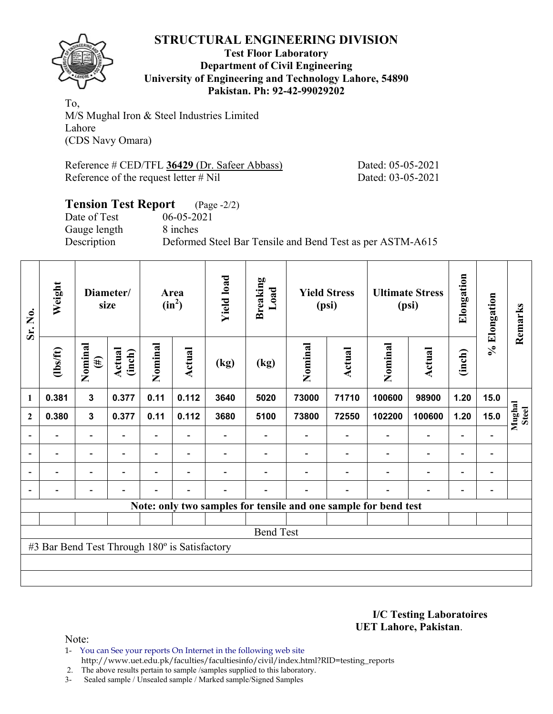

### **Test Floor Laboratory Department of Civil Engineering University of Engineering and Technology Lahore, 54890 Pakistan. Ph: 92-42-99029202**

To, M/S Mughal Iron & Steel Industries Limited Lahore (CDS Navy Omara)

Reference # CED/TFL **36429** (Dr. Safeer Abbass) Dated: 05-05-2021 Reference of the request letter # Nil Dated: 03-05-2021

### **Tension Test Report** (Page -2/2) Date of Test 06-05-2021 Gauge length 8 inches Description Deformed Steel Bar Tensile and Bend Test as per ASTM-A615

| Sr. No.                  | Weight<br>Diameter/<br>size                   |                          |                          |                | Area<br>$(in^2)$         |      | <b>Yield load</b><br><b>Breaking</b><br>Load |         | <b>Yield Stress</b><br>(psi) |                                                                 | <b>Ultimate Stress</b><br>(psi) | Elongation                   | % Elongation                 | Remarks                |
|--------------------------|-----------------------------------------------|--------------------------|--------------------------|----------------|--------------------------|------|----------------------------------------------|---------|------------------------------|-----------------------------------------------------------------|---------------------------------|------------------------------|------------------------------|------------------------|
|                          | $\frac{2}{10}$                                | Nominal<br>$\tag{H}$     | Actual<br>(inch)         | Nominal        | <b>Actual</b>            | (kg) | (kg)                                         | Nominal | Actual                       | Nominal                                                         | <b>Actual</b>                   | (inch)                       |                              |                        |
| $\mathbf{1}$             | 0.381                                         | $\mathbf{3}$             | 0.377                    | 0.11           | 0.112                    | 3640 | 5020                                         | 73000   | 71710                        | 100600                                                          | 98900                           | 1.20                         | 15.0                         |                        |
| $\boldsymbol{2}$         | 0.380                                         | $\mathbf{3}$             | 0.377                    | 0.11           | 0.112                    | 3680 | 5100                                         | 73800   | 72550                        | 102200                                                          | 100600                          | 1.20                         | 15.0                         | Mughal<br><b>Steel</b> |
| $\blacksquare$           |                                               | $\blacksquare$           |                          |                |                          |      |                                              |         |                              |                                                                 |                                 |                              |                              |                        |
| $\overline{\phantom{a}}$ | $\blacksquare$                                | $\overline{\phantom{a}}$ | $\overline{\phantom{0}}$ |                | $\overline{\phantom{a}}$ |      |                                              |         |                              |                                                                 | $\overline{\phantom{a}}$        | $\qquad \qquad \blacksquare$ | $\qquad \qquad \blacksquare$ |                        |
| $\overline{\phantom{0}}$ |                                               | $\overline{a}$           |                          | $\overline{a}$ | $\overline{\phantom{0}}$ |      |                                              |         |                              |                                                                 | $\overline{\phantom{0}}$        | $\overline{\phantom{0}}$     | $\overline{a}$               |                        |
| $\blacksquare$           |                                               | $\overline{a}$           | $\overline{\phantom{0}}$ | $\overline{a}$ | $\blacksquare$           |      |                                              |         | $\overline{\phantom{0}}$     | $\blacksquare$                                                  | $\overline{\phantom{0}}$        | $\overline{\phantom{0}}$     |                              |                        |
|                          |                                               |                          |                          |                |                          |      |                                              |         |                              | Note: only two samples for tensile and one sample for bend test |                                 |                              |                              |                        |
|                          |                                               |                          |                          |                |                          |      |                                              |         |                              |                                                                 |                                 |                              |                              |                        |
|                          |                                               |                          |                          |                |                          |      | <b>Bend Test</b>                             |         |                              |                                                                 |                                 |                              |                              |                        |
|                          | #3 Bar Bend Test Through 180° is Satisfactory |                          |                          |                |                          |      |                                              |         |                              |                                                                 |                                 |                              |                              |                        |
|                          |                                               |                          |                          |                |                          |      |                                              |         |                              |                                                                 |                                 |                              |                              |                        |
|                          |                                               |                          |                          |                |                          |      |                                              |         |                              |                                                                 |                                 |                              |                              |                        |

**I/C Testing Laboratoires UET Lahore, Pakistan**.

Note:

1- You can See your reports On Internet in the following web site http://www.uet.edu.pk/faculties/facultiesinfo/civil/index.html?RID=testing\_reports

2. The above results pertain to sample /samples supplied to this laboratory.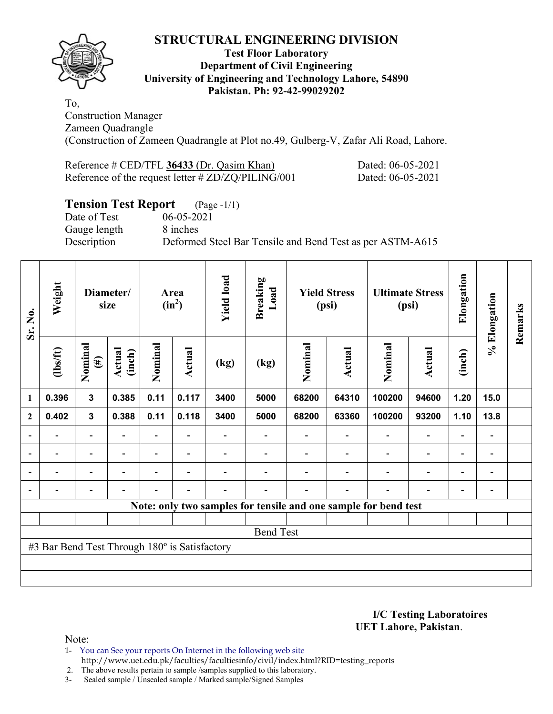

### **Test Floor Laboratory Department of Civil Engineering University of Engineering and Technology Lahore, 54890 Pakistan. Ph: 92-42-99029202**

To, Construction Manager Zameen Quadrangle (Construction of Zameen Quadrangle at Plot no.49, Gulberg-V, Zafar Ali Road, Lahore.

| Reference $\#$ CED/TFL 36433 (Dr. Qasim Khan)        | Dated: 06-05-2021 |
|------------------------------------------------------|-------------------|
| Reference of the request letter $\# ZD/ZQ/PLING/001$ | Dated: 06-05-2021 |

# **Tension Test Report** (Page -1/1)

Date of Test 06-05-2021 Gauge length 8 inches

Description Deformed Steel Bar Tensile and Bend Test as per ASTM-A615

| Sr. No.        | Weight                                        | Diameter/<br>size        |                          | Area<br>$(in^2)$         |                          | <b>Yield load</b> | <b>Breaking</b><br>Load | <b>Yield Stress</b><br>(psi) |                          |                                                                 | <b>Ultimate Stress</b><br>(psi) |                          | % Elongation             | Remarks |
|----------------|-----------------------------------------------|--------------------------|--------------------------|--------------------------|--------------------------|-------------------|-------------------------|------------------------------|--------------------------|-----------------------------------------------------------------|---------------------------------|--------------------------|--------------------------|---------|
|                | $\frac{2}{10}$                                | Nominal<br>$(\#)$        | Actual<br>(inch)         | Nominal                  | <b>Actual</b>            | (kg)              | (kg)                    | Nominal                      | Actual                   | Nominal                                                         | <b>Actual</b>                   | (inch)                   |                          |         |
| $\mathbf{1}$   | 0.396                                         | $\mathbf{3}$             | 0.385                    | 0.11                     | 0.117                    | 3400              | 5000                    | 68200                        | 64310                    | 100200                                                          | 94600                           | 1.20                     | 15.0                     |         |
| $\mathbf{2}$   | 0.402                                         | $\mathbf{3}$             | 0.388                    | 0.11                     | 0.118                    | 3400              | 5000                    | 68200                        | 63360                    | 100200                                                          | 93200                           | 1.10                     | 13.8                     |         |
| $\overline{a}$ | -                                             | $\overline{\phantom{a}}$ |                          |                          |                          |                   |                         |                              | $\overline{\phantom{a}}$ |                                                                 | $\overline{\phantom{a}}$        | $\overline{\phantom{0}}$ | $\blacksquare$           |         |
| $\overline{a}$ | -                                             | $\overline{\phantom{a}}$ | $\overline{\phantom{0}}$ | $\overline{\phantom{0}}$ | $\overline{\phantom{a}}$ |                   |                         |                              | $\overline{\phantom{a}}$ | $\overline{\phantom{0}}$                                        | $\overline{a}$                  | $\overline{\phantom{0}}$ | $\overline{\phantom{a}}$ |         |
| $\blacksquare$ | $\overline{\phantom{0}}$                      | Ξ.                       | ۰                        | $\overline{\phantom{0}}$ | $\overline{\phantom{0}}$ |                   |                         |                              |                          | $\overline{\phantom{0}}$                                        | $\blacksquare$                  | $\overline{\phantom{0}}$ | $\blacksquare$           |         |
|                |                                               | $\overline{\phantom{0}}$ | $\overline{\phantom{a}}$ | $\blacksquare$           | $\blacksquare$           |                   |                         |                              | $\overline{\phantom{a}}$ | $\overline{\phantom{0}}$                                        |                                 | ۰                        |                          |         |
|                |                                               |                          |                          |                          |                          |                   |                         |                              |                          | Note: only two samples for tensile and one sample for bend test |                                 |                          |                          |         |
|                |                                               |                          |                          |                          |                          |                   |                         |                              |                          |                                                                 |                                 |                          |                          |         |
|                |                                               |                          |                          |                          |                          |                   | <b>Bend Test</b>        |                              |                          |                                                                 |                                 |                          |                          |         |
|                | #3 Bar Bend Test Through 180° is Satisfactory |                          |                          |                          |                          |                   |                         |                              |                          |                                                                 |                                 |                          |                          |         |
|                |                                               |                          |                          |                          |                          |                   |                         |                              |                          |                                                                 |                                 |                          |                          |         |
|                |                                               |                          |                          |                          |                          |                   |                         |                              |                          |                                                                 |                                 |                          |                          |         |

**I/C Testing Laboratoires UET Lahore, Pakistan**.

- 1- You can See your reports On Internet in the following web site http://www.uet.edu.pk/faculties/facultiesinfo/civil/index.html?RID=testing\_reports
- 2. The above results pertain to sample /samples supplied to this laboratory.
- 3- Sealed sample / Unsealed sample / Marked sample/Signed Samples